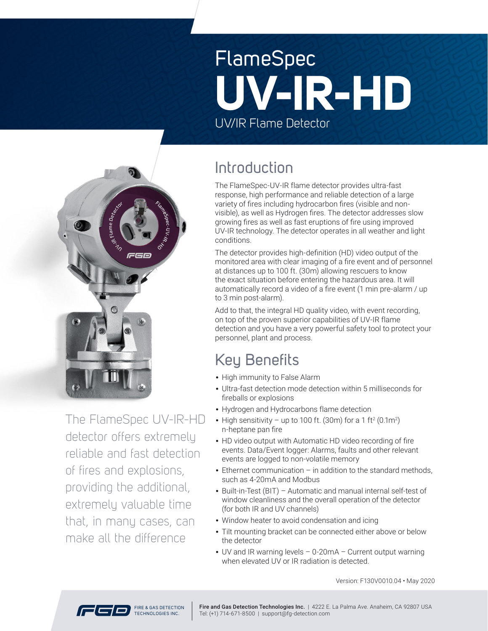# FlameSpec UV/IR Flame Detector **UV-IR-HD**



The FlameSpec UV-IR-HD detector offers extremely reliable and fast detection of fires and explosions, providing the additional, extremely valuable time that, in many cases, can make all the difference

## Introduction

The FlameSpec-UV-IR flame detector provides ultra-fast response, high performance and reliable detection of a large variety of fires including hydrocarbon fires (visible and nonvisible), as well as Hydrogen fires. The detector addresses slow growing fires as well as fast eruptions of fire using improved UV-IR technology. The detector operates in all weather and light conditions.

The detector provides high-definition (HD) video output of the monitored area with clear imaging of a fire event and of personnel at distances up to 100 ft. (30m) allowing rescuers to know the exact situation before entering the hazardous area. It will automatically record a video of a fire event (1 min pre-alarm / up to 3 min post-alarm).

Add to that, the integral HD quality video, with event recording, on top of the proven superior capabilities of UV-IR flame detection and you have a very powerful safety tool to protect your personnel, plant and process.

## Key Benefits

- High immunity to False Alarm
- Ultra-fast detection mode detection within 5 milliseconds for fireballs or explosions
- Hydrogen and Hydrocarbons flame detection
- High sensitivity up to 100 ft. (30m) for a 1 ft<sup>2</sup> (0.1m<sup>2</sup>) n-heptane pan fire
- HD video output with Automatic HD video recording of fire events. Data/Event logger: Alarms, faults and other relevant events are logged to non-volatile memory
- Ethernet communication in addition to the standard methods, such as 4-20mA and Modbus
- Built-in-Test (BIT) Automatic and manual internal self-test of window cleanliness and the overall operation of the detector (for both IR and UV channels)
- Window heater to avoid condensation and icing
- Tilt mounting bracket can be connected either above or below the detector
- UV and IR warning levels 0-20mA Current output warning when elevated UV or IR radiation is detected.

Version: F130V0010.04 • May 20 20

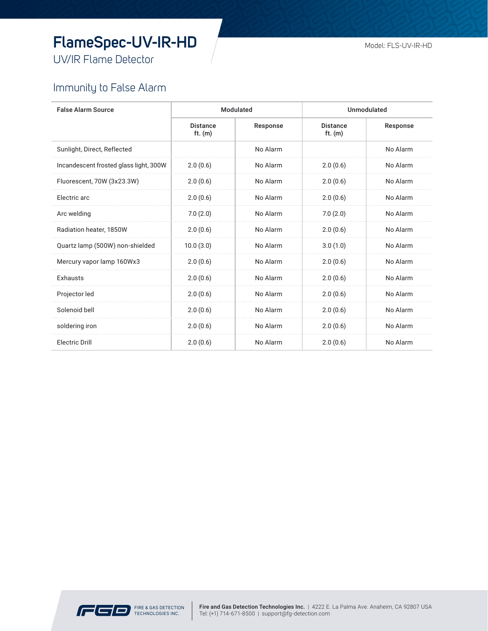## **FlameSpec-UV-IR-HD**

UV/IR Flame Detector

### Immunity to False Alarm

| <b>False Alarm Source</b>              | Modulated                    |          | Unmodulated                  |          |
|----------------------------------------|------------------------------|----------|------------------------------|----------|
|                                        | <b>Distance</b><br>ft. $(m)$ | Response | <b>Distance</b><br>ft. $(m)$ | Response |
| Sunlight, Direct, Reflected            |                              | No Alarm |                              | No Alarm |
| Incandescent frosted glass light, 300W | 2.0(0.6)                     | No Alarm | 2.0(0.6)                     | No Alarm |
| Fluorescent, 70W (3x23.3W)             | 2.0(0.6)                     | No Alarm | 2.0(0.6)                     | No Alarm |
| Electric arc                           | 2.0(0.6)                     | No Alarm | 2.0(0.6)                     | No Alarm |
| Arc welding                            | 7.0(2.0)                     | No Alarm | 7.0(2.0)                     | No Alarm |
| Radiation heater, 1850W                | 2.0(0.6)                     | No Alarm | 2.0(0.6)                     | No Alarm |
| Quartz lamp (500W) non-shielded        | 10.0(3.0)                    | No Alarm | 3.0(1.0)                     | No Alarm |
| Mercury vapor lamp 160Wx3              | 2.0(0.6)                     | No Alarm | 2.0(0.6)                     | No Alarm |
| Exhausts                               | 2.0(0.6)                     | No Alarm | 2.0(0.6)                     | No Alarm |
| Projector led                          | 2.0(0.6)                     | No Alarm | 2.0(0.6)                     | No Alarm |
| Solenoid bell                          | 2.0(0.6)                     | No Alarm | 2.0(0.6)                     | No Alarm |
| soldering iron                         | 2.0(0.6)                     | No Alarm | 2.0(0.6)                     | No Alarm |
| <b>Electric Drill</b>                  | 2.0(0.6)                     | No Alarm | 2.0(0.6)                     | No Alarm |

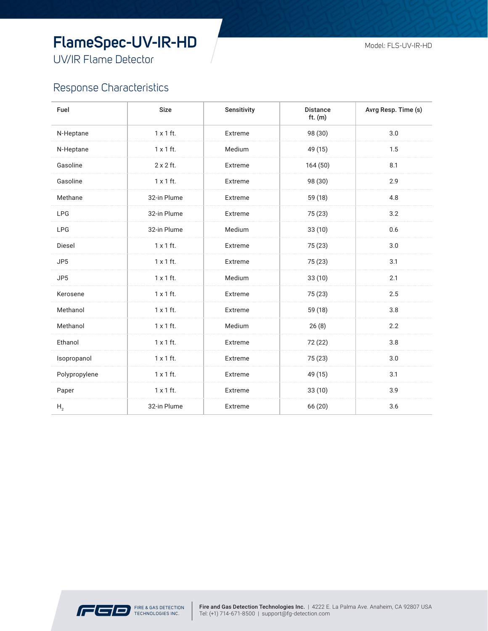## **FlameSpec-UV-IR-HD**

UV/IR Flame Detector

#### Response Characteristics

| Fuel            | Size             | Sensitivity | <b>Distance</b><br>ft. $(m)$ | Avrg Resp. Time (s) |
|-----------------|------------------|-------------|------------------------------|---------------------|
| N-Heptane       | $1 \times 1$ ft. | Extreme     | 98 (30)                      | 3.0                 |
| N-Heptane       | $1 \times 1$ ft. | Medium      | 49 (15)                      | 1.5                 |
| Gasoline        | $2 \times 2$ ft. | Extreme     | 164 (50)                     | 8.1                 |
| Gasoline        | $1 \times 1$ ft. | Extreme     | 98 (30)                      | 2.9                 |
| Methane         | 32-in Plume      | Extreme     | 59 (18)                      | 4.8                 |
| <b>LPG</b>      | 32-in Plume      | Extreme     | 75 (23)                      | 3.2                 |
| <b>LPG</b>      | 32-in Plume      | Medium      | 33(10)                       | 0.6                 |
| Diesel          | $1 \times 1$ ft. | Extreme     | 75 (23)                      | 3.0                 |
| JP <sub>5</sub> | $1 \times 1$ ft. | Extreme     | 75 (23)                      | 3.1                 |
| JP5             | $1 \times 1$ ft. | Medium      | 33(10)                       | 2.1                 |
| Kerosene        | $1 \times 1$ ft. | Extreme     | 75 (23)                      | 2.5                 |
| Methanol        | $1 \times 1$ ft. | Extreme     | 59 (18)                      | 3.8                 |
| Methanol        | $1 \times 1$ ft. | Medium      | 26(8)                        | 2.2                 |
| Ethanol         | $1 \times 1$ ft. | Extreme     | 72 (22)                      | 3.8                 |
| Isopropanol     | $1 \times 1$ ft. | Extreme     | 75 (23)                      | 3.0                 |
| Polypropylene   | $1 \times 1$ ft. | Extreme     | 49 (15)                      | 3.1                 |
| Paper           | $1 \times 1$ ft. | Extreme     | 33(10)                       | 3.9                 |
| H <sub>2</sub>  | 32-in Plume      | Extreme     | 66 (20)                      | 3.6                 |